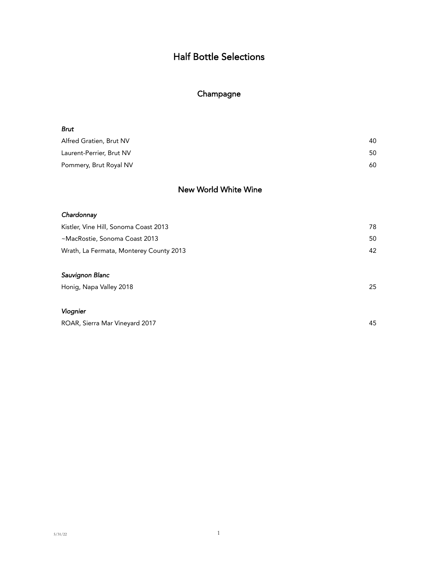### Champagne

| Brut                     |    |
|--------------------------|----|
| Alfred Gratien, Brut NV  | 40 |
| Laurent-Perrier, Brut NV | 50 |
| Pommery, Brut Royal NV   | 60 |

### New World White Wine

#### *Chardonnay*

| Kistler, Vine Hill, Sonoma Coast 2013   | 78 |
|-----------------------------------------|----|
| ~MacRostie, Sonoma Coast 2013           | 50 |
| Wrath, La Fermata, Monterey County 2013 | 42 |
| Sauvignon Blanc                         |    |
| Honig, Napa Valley 2018                 | 25 |

#### *Viognier*

| ROAR, Sierra Mar Vineyard 2017 |  |
|--------------------------------|--|
|                                |  |
|                                |  |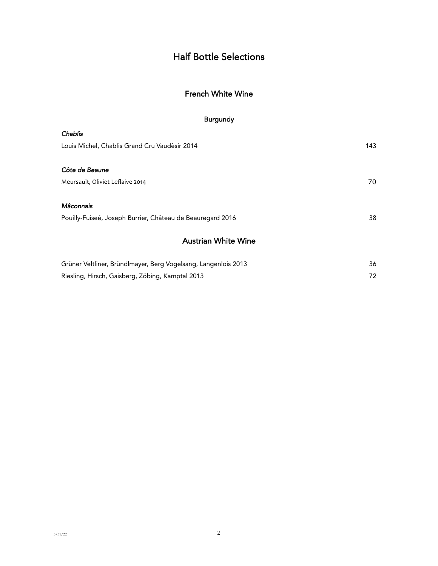## French White Wine

### Burgundy

| Chablis                                                    |     |
|------------------------------------------------------------|-----|
| Louis Michel, Chablis Grand Cru Vaudèsir 2014              | 143 |
|                                                            |     |
| Côte de Beaune                                             |     |
| Meursault, Oliviet Leflaive 2014                           | 70  |
|                                                            |     |
| Mâconnais                                                  |     |
| Pouilly-Fuiseé, Joseph Burrier, Château de Beauregard 2016 | 38  |
| <b>Austrian White Wine</b>                                 |     |

| Grüner Veltliner, Bründlmayer, Berg Vogelsang, Langenlois 2013 | 36  |
|----------------------------------------------------------------|-----|
| Riesling, Hirsch, Gaisberg, Zöbing, Kamptal 2013               | 72. |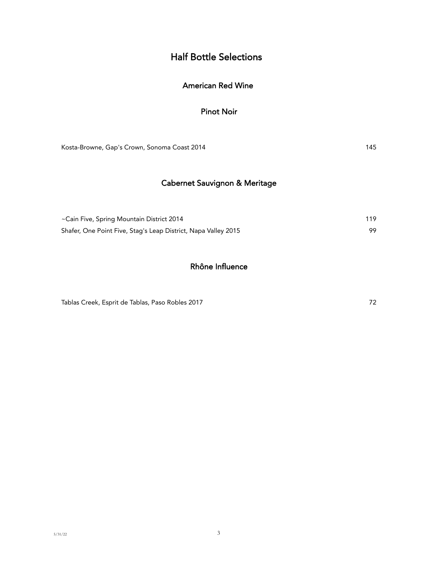### American Red Wine

#### Pinot Noir

Kosta-Browne, Gap's Crown, Sonoma Coast 2014 145

## Cabernet Sauvignon & Meritage

| ~Cain Five, Spring Mountain District 2014                      | 119 |
|----------------------------------------------------------------|-----|
| Shafer, One Point Five, Stag's Leap District, Napa Valley 2015 |     |

### Rhône Influence

Tablas Creek, Esprit de Tablas, Paso Robles 2017 **72**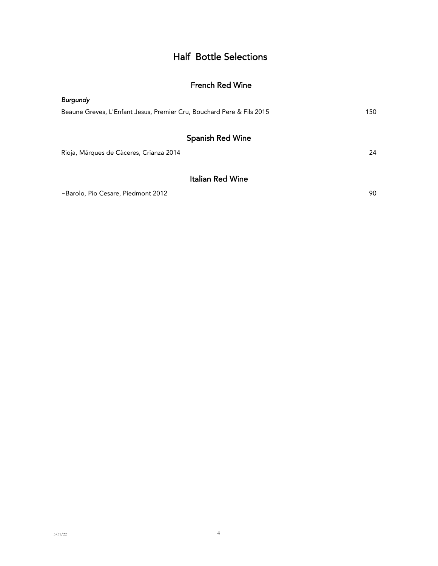### French Red Wine

| <b>Burgundy</b>                                                       |     |
|-----------------------------------------------------------------------|-----|
| Beaune Greves, L'Enfant Jesus, Premier Cru, Bouchard Pere & Fils 2015 | 150 |
|                                                                       |     |
| <b>Spanish Red Wine</b>                                               |     |
| Rioja, Márques de Càceres, Crianza 2014                               | 24  |
|                                                                       |     |
| <b>Italian Red Wine</b>                                               |     |
| ~Barolo, Pio Cesare, Piedmont 2012                                    | 90  |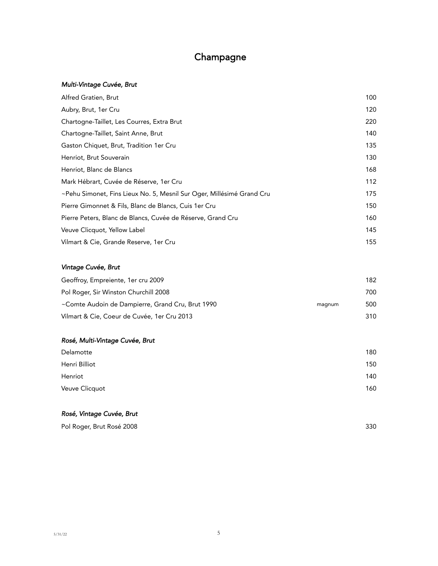# Champagne

#### *Multi-Vintage Cuvée, Brut*

| 100 |
|-----|
| 120 |
| 220 |
| 140 |
| 135 |
| 130 |
| 168 |
| 112 |
| 175 |
| 150 |
| 160 |
| 145 |
| 155 |
|     |

#### *Vintage Cuvée, Brut*

| Geoffroy, Empreiente, 1er cru 2009               |        | 182 |
|--------------------------------------------------|--------|-----|
| Pol Roger, Sir Winston Churchill 2008            |        | 700 |
| ~Comte Audoin de Dampierre, Grand Cru, Brut 1990 | magnum | 500 |
| Vilmart & Cie, Coeur de Cuvée, 1er Cru 2013      |        | 310 |

#### *Rosé, Multi-Vintage Cuvée, Brut*

| 180 |
|-----|
| 150 |
| 140 |
| 160 |
|     |

#### *Rosé, Vintage Cuvée, Brut*

| Pol Roger, Brut Rosé 2008 | 330 |
|---------------------------|-----|
|---------------------------|-----|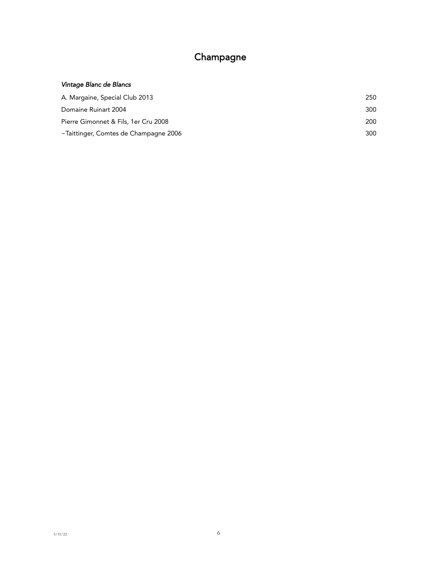# Champagne

#### *Vintage Blanc de Blancs*

| A. Margaine, Special Club 2013        | 250 |
|---------------------------------------|-----|
| Domaine Ruinart 2004                  | 300 |
| Pierre Gimonnet & Fils, 1er Cru 2008  | 200 |
| ~Taittinger, Comtes de Champagne 2006 | 300 |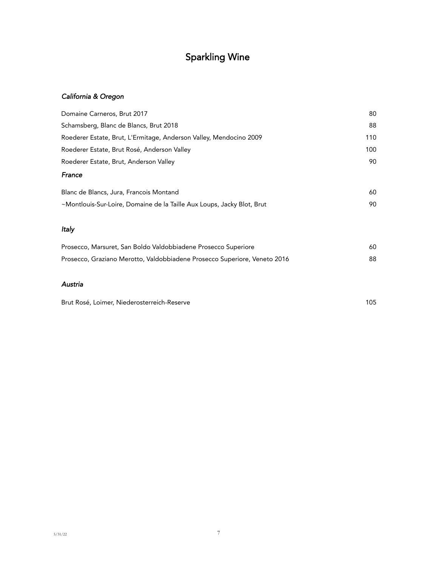# Sparkling Wine

### *California & Oregon*

| Domaine Carneros, Brut 2017                                               | 80  |
|---------------------------------------------------------------------------|-----|
| Schamsberg, Blanc de Blancs, Brut 2018                                    | 88  |
| Roederer Estate, Brut, L'Ermitage, Anderson Valley, Mendocino 2009        | 110 |
| Roederer Estate, Brut Rosé, Anderson Valley                               | 100 |
| Roederer Estate, Brut, Anderson Valley                                    | 90  |
| France                                                                    |     |
| Blanc de Blancs, Jura, Francois Montand                                   | 60  |
| ~Montlouis-Sur-Loire, Domaine de la Taille Aux Loups, Jacky Blot, Brut    | 90  |
| Italy                                                                     |     |
| Prosecco, Marsuret, San Boldo Valdobbiadene Prosecco Superiore            | 60  |
| Prosecco, Graziano Merotto, Valdobbiadene Prosecco Superiore, Veneto 2016 | 88  |

#### *Austria*

Brut Rosé, Loimer, Niederosterreich-Reserve 105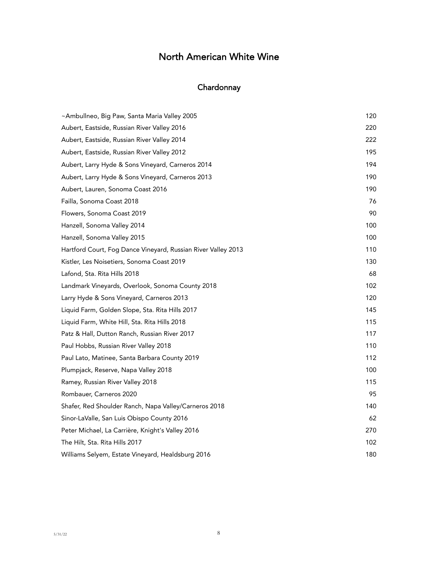# **Chardonnay**

| ~Ambullneo, Big Paw, Santa Maria Valley 2005                  | 120 |
|---------------------------------------------------------------|-----|
| Aubert, Eastside, Russian River Valley 2016                   | 220 |
| Aubert, Eastside, Russian River Valley 2014                   | 222 |
| Aubert, Eastside, Russian River Valley 2012                   | 195 |
| Aubert, Larry Hyde & Sons Vineyard, Carneros 2014             | 194 |
| Aubert, Larry Hyde & Sons Vineyard, Carneros 2013             | 190 |
| Aubert, Lauren, Sonoma Coast 2016                             | 190 |
| Failla, Sonoma Coast 2018                                     | 76  |
| Flowers, Sonoma Coast 2019                                    | 90  |
| Hanzell, Sonoma Valley 2014                                   | 100 |
| Hanzell, Sonoma Valley 2015                                   | 100 |
| Hartford Court, Fog Dance Vineyard, Russian River Valley 2013 | 110 |
| Kistler, Les Noisetiers, Sonoma Coast 2019                    | 130 |
| Lafond, Sta. Rita Hills 2018                                  | 68  |
| Landmark Vineyards, Overlook, Sonoma County 2018              | 102 |
| Larry Hyde & Sons Vineyard, Carneros 2013                     | 120 |
| Liquid Farm, Golden Slope, Sta. Rita Hills 2017               | 145 |
| Liquid Farm, White Hill, Sta. Rita Hills 2018                 | 115 |
| Patz & Hall, Dutton Ranch, Russian River 2017                 | 117 |
| Paul Hobbs, Russian River Valley 2018                         | 110 |
| Paul Lato, Matinee, Santa Barbara County 2019                 | 112 |
| Plumpjack, Reserve, Napa Valley 2018                          | 100 |
| Ramey, Russian River Valley 2018                              | 115 |
| Rombauer, Carneros 2020                                       | 95  |
| Shafer, Red Shoulder Ranch, Napa Valley/Carneros 2018         | 140 |
| Sinor-LaValle, San Luis Obispo County 2016                    | 62  |
| Peter Michael, La Carrière, Knight's Valley 2016              | 270 |
| The Hilt, Sta. Rita Hills 2017                                | 102 |
| Williams Selyem, Estate Vineyard, Healdsburg 2016             | 180 |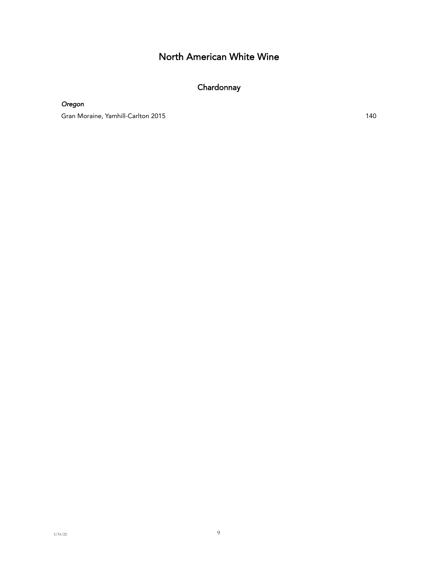# **Chardonnay**

*Oregon*

Gran Moraine, Yamhill-Carlton 2015 140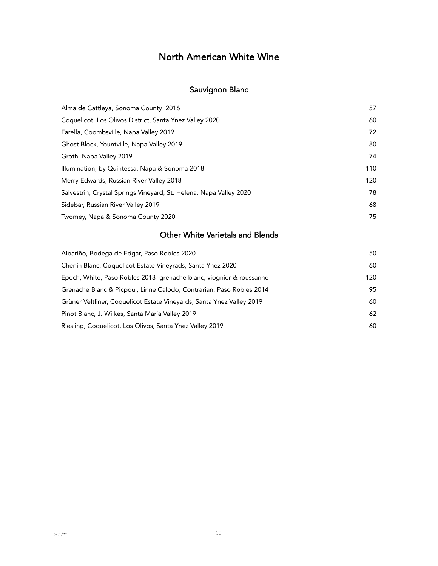## Sauvignon Blanc

| Alma de Cattleya, Sonoma County 2016                               | 57  |
|--------------------------------------------------------------------|-----|
| Coquelicot, Los Olivos District, Santa Ynez Valley 2020            | 60  |
| Farella, Coombsville, Napa Valley 2019                             | 72  |
| Ghost Block, Yountville, Napa Valley 2019                          | 80  |
| Groth, Napa Valley 2019                                            | 74  |
| Illumination, by Quintessa, Napa & Sonoma 2018                     | 110 |
| Merry Edwards, Russian River Valley 2018                           | 120 |
| Salvestrin, Crystal Springs Vineyard, St. Helena, Napa Valley 2020 | 78  |
| Sidebar, Russian River Valley 2019                                 | 68  |
| Twomey, Napa & Sonoma County 2020                                  | 75  |

## Other White Varietals and Blends

| Albariño, Bodega de Edgar, Paso Robles 2020                           | 50  |
|-----------------------------------------------------------------------|-----|
| Chenin Blanc, Coquelicot Estate Vineyrads, Santa Ynez 2020            | 60  |
| Epoch, White, Paso Robles 2013 grenache blanc, viognier & roussanne   | 120 |
| Grenache Blanc & Picpoul, Linne Calodo, Contrarian, Paso Robles 2014  | 95  |
| Grüner Veltliner, Coquelicot Estate Vineyards, Santa Ynez Valley 2019 | 60  |
| Pinot Blanc, J. Wilkes, Santa Maria Valley 2019                       | 62  |
| Riesling, Coquelicot, Los Olivos, Santa Ynez Valley 2019              | 60  |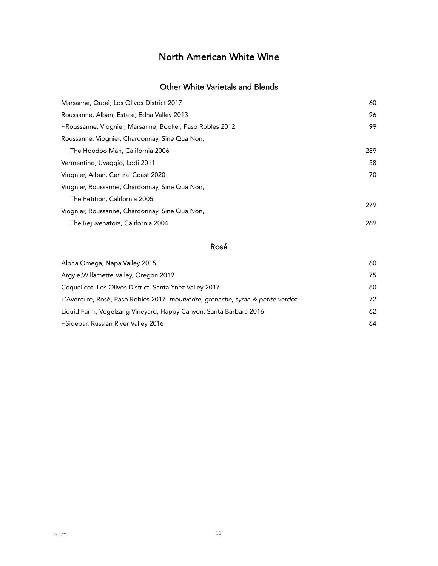### Other White Varietals and Blends

| Marsanne, Qupé, Los Olivos District 2017                 | 60  |
|----------------------------------------------------------|-----|
| Roussanne, Alban, Estate, Edna Valley 2013               | 96  |
| ~Roussanne, Viognier, Marsanne, Booker, Paso Robles 2012 | 99  |
| Roussanne, Viognier, Chardonnay, Sine Qua Non,           |     |
| The Hoodoo Man, California 2006                          | 289 |
| Vermentino, Uvaggio, Lodi 2011                           | 58  |
| Viognier, Alban, Central Coast 2020                      | 70  |
| Viognier, Roussanne, Chardonnay, Sine Qua Non,           |     |
| The Petition, California 2005                            | 279 |
| Viognier, Roussanne, Chardonnay, Sine Qua Non,           |     |
| The Rejuvenators, California 2004                        | 269 |
|                                                          |     |

#### Rosé

| Alpha Omega, Napa Valley 2015                                                 | 60 |
|-------------------------------------------------------------------------------|----|
| Argyle, Willamette Valley, Oregon 2019                                        | 75 |
| Coquelicot, Los Olivos District, Santa Ynez Valley 2017                       | 60 |
| L'Aventure, Rosé, Paso Robles 2017 mourvèdre, grenache, syrah & petite verdot | 72 |
| Liquid Farm, Vogelzang Vineyard, Happy Canyon, Santa Barbara 2016             | 62 |
| ~Sidebar, Russian River Valley 2016                                           | 64 |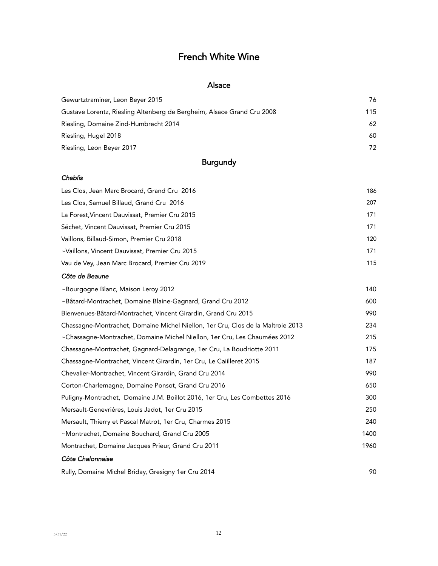# French White Wine

#### Alsace

| Gewurtztraminer, Leon Beyer 2015                                       | 76  |
|------------------------------------------------------------------------|-----|
| Gustave Lorentz, Riesling Altenberg de Bergheim, Alsace Grand Cru 2008 | 115 |
| Riesling, Domaine Zind-Humbrecht 2014                                  | 62  |
| Riesling, Hugel 2018                                                   | 60  |
| Riesling, Leon Beyer 2017                                              | 72  |
|                                                                        |     |

## Burgundy

#### *Chablis*

| Les Clos, Jean Marc Brocard, Grand Cru 2016     | 186 |
|-------------------------------------------------|-----|
| Les Clos, Samuel Billaud, Grand Cru 2016        | 207 |
| La Forest, Vincent Dauvissat, Premier Cru 2015  | 171 |
| Séchet, Vincent Dauvissat, Premier Cru 2015     | 171 |
| Vaillons, Billaud-Simon, Premier Cru 2018       | 120 |
| ~Vaillons, Vincent Dauvissat, Premier Cru 2015  | 171 |
| Vau de Vey, Jean Marc Brocard, Premier Cru 2019 | 115 |

#### *Côte de Beaune*

| ~Bourgogne Blanc, Maison Leroy 2012                                             | 140  |
|---------------------------------------------------------------------------------|------|
| ~Bâtard-Montrachet, Domaine Blaine-Gagnard, Grand Cru 2012                      | 600  |
| Bienvenues-Bâtard-Montrachet, Vincent Girardin, Grand Cru 2015                  | 990  |
| Chassagne-Montrachet, Domaine Michel Niellon, 1er Cru, Clos de la Maltroie 2013 | 234  |
| ~Chassagne-Montrachet, Domaine Michel Niellon, 1er Cru, Les Chaumées 2012       | 215  |
| Chassagne-Montrachet, Gagnard-Delagrange, 1er Cru, La Boudriotte 2011           | 175  |
| Chassagne-Montrachet, Vincent Girardin, 1er Cru, Le Caiilleret 2015             | 187  |
| Chevalier-Montrachet, Vincent Girardin, Grand Cru 2014                          | 990  |
| Corton-Charlemagne, Domaine Ponsot, Grand Cru 2016                              | 650  |
| Puligny-Montrachet, Domaine J.M. Boillot 2016, 1er Cru, Les Combettes 2016      | 300  |
| Mersault-Genevriéres, Louis Jadot, 1er Cru 2015                                 | 250  |
| Mersault, Thierry et Pascal Matrot, 1 er Cru, Charmes 2015                      | 240  |
| ~Montrachet, Domaine Bouchard, Grand Cru 2005                                   | 1400 |
| Montrachet, Domaine Jacques Prieur, Grand Cru 2011                              | 1960 |
| Côte Chalonnaise                                                                |      |
| Rully, Domaine Michel Briday, Gresigny 1er Cru 2014                             | 90   |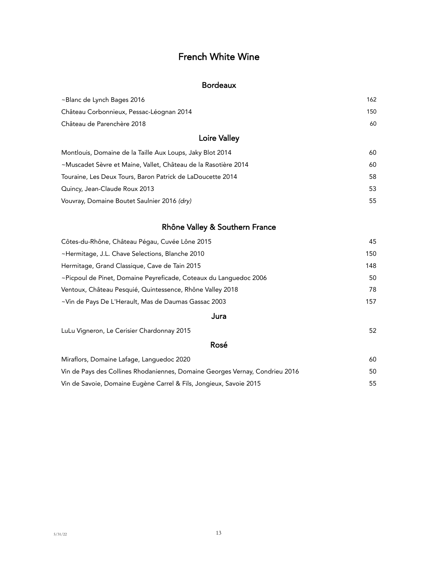## French White Wine

### Bordeaux

| ~Blanc de Lynch Bages 2016                                     | 162 |
|----------------------------------------------------------------|-----|
| Château Corbonnieux, Pessac-Léognan 2014                       | 150 |
| Château de Parenchère 2018                                     | 60  |
| <b>Loire Valley</b>                                            |     |
| Montlouis, Domaine de la Taille Aux Loups, Jaky Blot 2014      | 60  |
| ~Muscadet Sèvre et Maine, Vallet, Château de la Rasotière 2014 | 60  |
| Touraine, Les Deux Tours, Baron Patrick de LaDoucette 2014     | 58  |
| Quincy, Jean-Claude Roux 2013                                  | 53  |
| Vouvray, Domaine Boutet Saulnier 2016 (dry)                    | 55  |

### Rhône Valley & Southern France

| Côtes-du-Rhône, Château Pégau, Cuvée Lône 2015                    | 45  |
|-------------------------------------------------------------------|-----|
| ~Hermitage, J.L. Chave Selections, Blanche 2010                   | 150 |
| Hermitage, Grand Classique, Cave de Tain 2015                     | 148 |
| ~Picpoul de Pinet, Domaine Peyreficade, Coteaux du Languedoc 2006 | 50  |
| Ventoux, Château Pesquié, Quintessence, Rhône Valley 2018         | 78  |
| ~Vin de Pays De L'Herault, Mas de Daumas Gassac 2003              | 157 |
|                                                                   |     |

#### Jura

LuLu Vigneron, Le Cerisier Chardonnay 2015 52

### Rosé

| Miraflors, Domaine Lafage, Languedoc 2020                                    | 60. |
|------------------------------------------------------------------------------|-----|
| Vin de Pays des Collines Rhodaniennes, Domaine Georges Vernay, Condrieu 2016 | 50. |
| Vin de Savoie, Domaine Eugène Carrel & Fils, Jongieux, Savoie 2015           | 55. |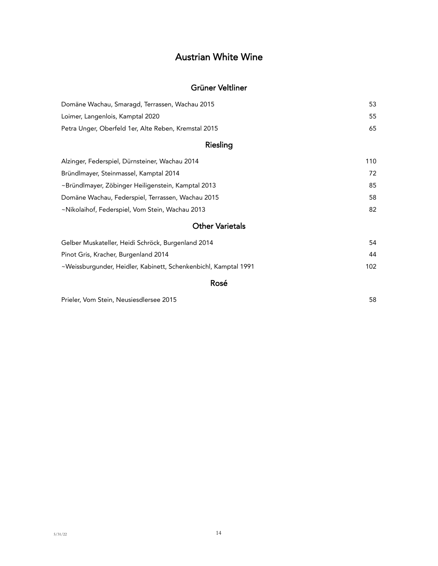# Austrian White Wine

### Grüner Veltliner

| Domäne Wachau, Smaragd, Terrassen, Wachau 2015       | 53 |
|------------------------------------------------------|----|
| Loimer, Langenlois, Kamptal 2020                     | 55 |
| Petra Unger, Oberfeld 1er, Alte Reben, Kremstal 2015 | 65 |

### Riesling

| Alzinger, Federspiel, Dürnsteiner, Wachau 2014     | 110 |
|----------------------------------------------------|-----|
| Bründlmayer, Steinmassel, Kamptal 2014             | 72  |
| ~Bründlmayer, Zöbinger Heiligenstein, Kamptal 2013 | 85  |
| Domäne Wachau, Federspiel, Terrassen, Wachau 2015  | 58  |
| ~Nikolaihof, Federspiel, Vom Stein, Wachau 2013    | 82  |

## Other Varietals

| Gelber Muskateller, Heidi Schröck, Burgenland 2014              | 54  |
|-----------------------------------------------------------------|-----|
| Pinot Gris, Kracher, Burgenland 2014                            | 44  |
| ~Weissburgunder, Heidler, Kabinett, Schenkenbichl, Kamptal 1991 | 102 |

#### Rosé

Prieler, Vom Stein, Neusiesdlersee 2015 58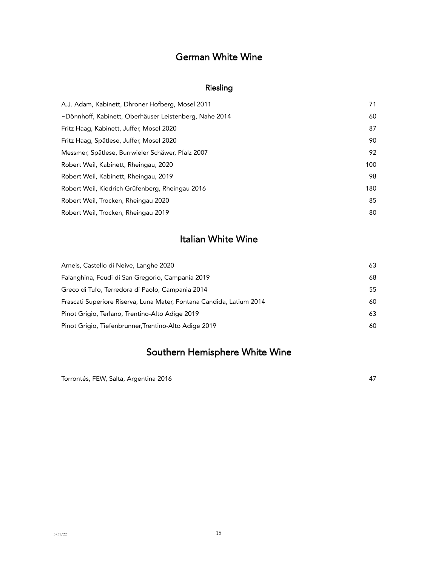# German White Wine

## Riesling

| A.J. Adam, Kabinett, Dhroner Hofberg, Mosel 2011       | 71  |
|--------------------------------------------------------|-----|
| ~Dönnhoff, Kabinett, Oberhäuser Leistenberg, Nahe 2014 | 60  |
| Fritz Haag, Kabinett, Juffer, Mosel 2020               | 87  |
| Fritz Haag, Spätlese, Juffer, Mosel 2020               | 90  |
| Messmer, Spätlese, Burrwieler Schäwer, Pfalz 2007      | 92  |
| Robert Weil, Kabinett, Rheingau, 2020                  | 100 |
| Robert Weil, Kabinett, Rheingau, 2019                  | 98  |
| Robert Weil, Kiedrich Grüfenberg, Rheingau 2016        | 180 |
| Robert Weil, Trocken, Rheingau 2020                    | 85  |
| Robert Weil, Trocken, Rheingau 2019                    | 80  |
|                                                        |     |

# Italian White Wine

| Arneis, Castello di Neive, Langhe 2020                               | 63 |
|----------------------------------------------------------------------|----|
| Falanghina, Feudi di San Gregorio, Campania 2019                     | 68 |
| Greco di Tufo, Terredora di Paolo, Campania 2014                     | 55 |
| Frascati Superiore Riserva, Luna Mater, Fontana Candida, Latium 2014 | 60 |
| Pinot Grigio, Terlano, Trentino-Alto Adige 2019                      | 63 |
| Pinot Grigio, Tiefenbrunner, Trentino-Alto Adige 2019                | 60 |

# Southern Hemisphere White Wine

Torrontés, FEW, Salta, Argentina 2016 **47** and the set of the set of the set of the set of the set of the set of the set of the set of the set of the set of the set of the set of the set of the set of the set of the set of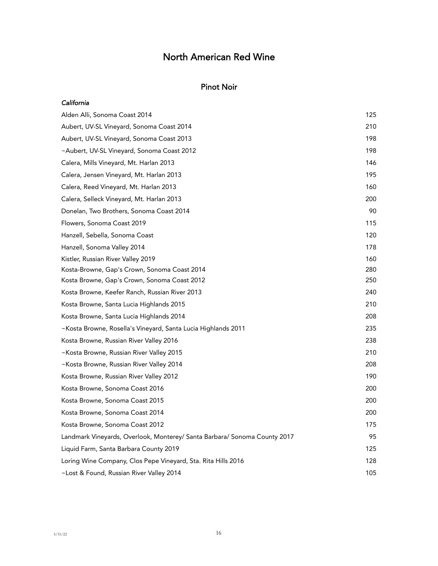#### Pinot Noir

| California                                                                |     |
|---------------------------------------------------------------------------|-----|
| Alden Alli, Sonoma Coast 2014                                             | 125 |
| Aubert, UV-SL Vineyard, Sonoma Coast 2014                                 | 210 |
| Aubert, UV-SL Vineyard, Sonoma Coast 2013                                 | 198 |
| ~Aubert, UV-SL Vineyard, Sonoma Coast 2012                                | 198 |
| Calera, Mills Vineyard, Mt. Harlan 2013                                   | 146 |
| Calera, Jensen Vineyard, Mt. Harlan 2013                                  | 195 |
| Calera, Reed Vineyard, Mt. Harlan 2013                                    | 160 |
| Calera, Selleck Vineyard, Mt. Harlan 2013                                 | 200 |
| Donelan, Two Brothers, Sonoma Coast 2014                                  | 90  |
| Flowers, Sonoma Coast 2019                                                | 115 |
| Hanzell, Sebella, Sonoma Coast                                            | 120 |
| Hanzell, Sonoma Valley 2014                                               | 178 |
| Kistler, Russian River Valley 2019                                        | 160 |
| Kosta-Browne, Gap's Crown, Sonoma Coast 2014                              | 280 |
| Kosta Browne, Gap's Crown, Sonoma Coast 2012                              | 250 |
| Kosta Browne, Keefer Ranch, Russian River 2013                            | 240 |
| Kosta Browne, Santa Lucia Highlands 2015                                  | 210 |
| Kosta Browne, Santa Lucia Highlands 2014                                  | 208 |
| ~Kosta Browne, Rosella's Vineyard, Santa Lucia Highlands 2011             | 235 |
| Kosta Browne, Russian River Valley 2016                                   | 238 |
| ~Kosta Browne, Russian River Valley 2015                                  | 210 |
| ~Kosta Browne, Russian River Valley 2014                                  | 208 |
| Kosta Browne, Russian River Valley 2012                                   | 190 |
| Kosta Browne, Sonoma Coast 2016                                           | 200 |
| Kosta Browne, Sonoma Coast 2015                                           | 200 |
| Kosta Browne, Sonoma Coast 2014                                           | 200 |
| Kosta Browne, Sonoma Coast 2012                                           | 175 |
| Landmark Vineyards, Overlook, Monterey/ Santa Barbara/ Sonoma County 2017 | 95  |
| Liquid Farm, Santa Barbara County 2019                                    | 125 |
| Loring Wine Company, Clos Pepe Vineyard, Sta. Rita Hills 2016             | 128 |
| ~Lost & Found, Russian River Valley 2014                                  | 105 |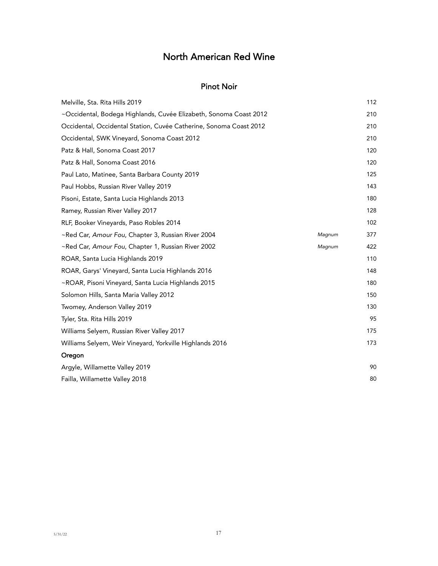#### Pinot Noir

| Melville, Sta. Rita Hills 2019                                     | 112 |
|--------------------------------------------------------------------|-----|
| ~Occidental, Bodega Highlands, Cuvée Elizabeth, Sonoma Coast 2012  | 210 |
| Occidental, Occidental Station, Cuvée Catherine, Sonoma Coast 2012 | 210 |
| Occidental, SWK Vineyard, Sonoma Coast 2012                        | 210 |
| Patz & Hall, Sonoma Coast 2017                                     | 120 |
| Patz & Hall, Sonoma Coast 2016                                     | 120 |
| Paul Lato, Matinee, Santa Barbara County 2019                      | 125 |
| Paul Hobbs, Russian River Valley 2019                              | 143 |
| Pisoni, Estate, Santa Lucia Highlands 2013                         | 180 |
| Ramey, Russian River Valley 2017                                   | 128 |
| RLF, Booker Vineyards, Paso Robles 2014                            | 102 |
| ~Red Car, Amour Fou, Chapter 3, Russian River 2004<br>Magnum       | 377 |
| ~Red Car, Amour Fou, Chapter 1, Russian River 2002<br>Magnum       | 422 |
| ROAR, Santa Lucia Highlands 2019                                   | 110 |
| ROAR, Garys' Vineyard, Santa Lucia Highlands 2016                  | 148 |
| ~ROAR, Pisoni Vineyard, Santa Lucia Highlands 2015                 | 180 |
| Solomon Hills, Santa Maria Valley 2012                             | 150 |
| Twomey, Anderson Valley 2019                                       | 130 |
| Tyler, Sta. Rita Hills 2019                                        | 95  |
| Williams Selyem, Russian River Valley 2017                         | 175 |
| Williams Selyem, Weir Vineyard, Yorkville Highlands 2016           | 173 |
| Oregon                                                             |     |
| Argyle, Willamette Valley 2019                                     | 90  |
| Failla, Willamette Valley 2018                                     | 80  |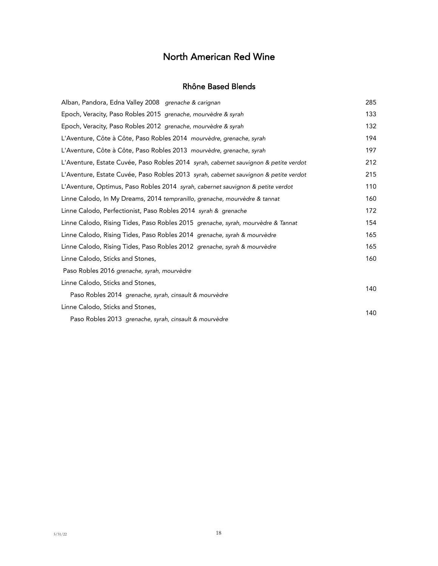#### Rhône Based Blends

| Alban, Pandora, Edna Valley 2008 grenache & carignan                                 | 285 |
|--------------------------------------------------------------------------------------|-----|
| Epoch, Veracity, Paso Robles 2015 grenache, mourvèdre & syrah                        | 133 |
| Epoch, Veracity, Paso Robles 2012 grenache, mourvèdre & syrah                        | 132 |
| L'Aventure, Côte à Côte, Paso Robles 2014 mourvèdre, grenache, syrah                 | 194 |
| L'Aventure, Côte à Côte, Paso Robles 2013 mourvèdre, grenache, syrah                 | 197 |
| L'Aventure, Estate Cuvée, Paso Robles 2014 syrah, cabernet sauvignon & petite verdot | 212 |
| L'Aventure, Estate Cuvée, Paso Robles 2013 syrah, cabernet sauvignon & petite verdot | 215 |
| L'Aventure, Optimus, Paso Robles 2014 syrah, cabernet sauvignon & petite verdot      | 110 |
| Linne Calodo, In My Dreams, 2014 tempranillo, grenache, mourvèdre & tannat           | 160 |
| Linne Calodo, Perfectionist, Paso Robles 2014 syrah & grenache                       | 172 |
| Linne Calodo, Rising Tides, Paso Robles 2015 grenache, syrah, mourvèdre & Tannat     | 154 |
| Linne Calodo, Rising Tides, Paso Robles 2014 grenache, syrah & mourvèdre             | 165 |
| Linne Calodo, Rising Tides, Paso Robles 2012 grenache, syrah & mourvèdre             | 165 |
| Linne Calodo, Sticks and Stones,                                                     | 160 |
| Paso Robles 2016 grenache, syrah, mourvèdre                                          |     |
| Linne Calodo, Sticks and Stones,                                                     | 140 |
| Paso Robles 2014 grenache, syrah, cinsault & mourvèdre                               |     |
| Linne Calodo, Sticks and Stones,                                                     | 140 |
| Paso Robles 2013 grenache, syrah, cinsault & mourvèdre                               |     |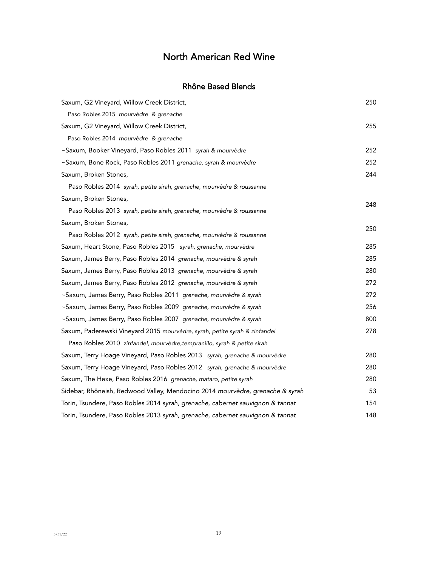### Rhône Based Blends

| Saxum, G2 Vineyard, Willow Creek District,                                     | 250 |
|--------------------------------------------------------------------------------|-----|
| Paso Robles 2015 mourvèdre & grenache                                          |     |
| Saxum, G2 Vineyard, Willow Creek District,                                     | 255 |
| Paso Robles 2014 mourvèdre & grenache                                          |     |
| ~Saxum, Booker Vineyard, Paso Robles 2011 syrah & mourvèdre                    | 252 |
| ~Saxum, Bone Rock, Paso Robles 2011 grenache, syrah & mourvèdre                | 252 |
| Saxum, Broken Stones,                                                          | 244 |
| Paso Robles 2014 syrah, petite sirah, grenache, mourvèdre & roussanne          |     |
| Saxum, Broken Stones,                                                          | 248 |
| Paso Robles 2013 syrah, petite sirah, grenache, mourvèdre & roussanne          |     |
| Saxum, Broken Stones,                                                          | 250 |
| Paso Robles 2012 syrah, petite sirah, grenache, mourvèdre & roussanne          |     |
| Saxum, Heart Stone, Paso Robles 2015 syrah, grenache, mourvèdre                | 285 |
| Saxum, James Berry, Paso Robles 2014 grenache, mourvèdre & syrah               | 285 |
| Saxum, James Berry, Paso Robles 2013 grenache, mourvèdre & syrah               | 280 |
| Saxum, James Berry, Paso Robles 2012 grenache, mourvèdre & syrah               | 272 |
| ~Saxum, James Berry, Paso Robles 2011 grenache, mourvèdre & syrah              | 272 |
| ~Saxum, James Berry, Paso Robles 2009 grenache, mourvèdre & syrah              | 256 |
| ~Saxum, James Berry, Paso Robles 2007 grenache, mourvèdre & syrah              | 800 |
| Saxum, Paderewski Vineyard 2015 mourvèdre, syrah, petite syrah & zinfandel     | 278 |
| Paso Robles 2010 zinfandel, mourvèdre, tempranillo, syrah & petite sirah       |     |
| Saxum, Terry Hoage Vineyard, Paso Robles 2013 syrah, grenache & mourvèdre      | 280 |
| Saxum, Terry Hoage Vineyard, Paso Robles 2012 syrah, grenache & mourvèdre      | 280 |
| Saxum, The Hexe, Paso Robles 2016 grenache, mataro, petite syrah               | 280 |
| Sidebar, Rhôneish, Redwood Valley, Mendocino 2014 mourvèdre, grenache & syrah  | 53  |
| Torin, Tsundere, Paso Robles 2014 syrah, grenache, cabernet sauvignon & tannat | 154 |
| Torin, Tsundere, Paso Robles 2013 syrah, grenache, cabernet sauvignon & tannat | 148 |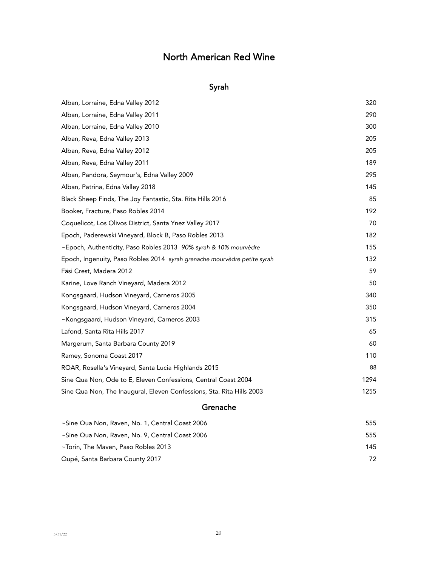## Syrah

| Grenache                                                                 |      |
|--------------------------------------------------------------------------|------|
| Sine Qua Non, The Inaugural, Eleven Confessions, Sta. Rita Hills 2003    | 1255 |
| Sine Qua Non, Ode to E, Eleven Confessions, Central Coast 2004           | 1294 |
| ROAR, Rosella's Vineyard, Santa Lucia Highlands 2015                     | 88   |
| Ramey, Sonoma Coast 2017                                                 | 110  |
| Margerum, Santa Barbara County 2019                                      | 60   |
| Lafond, Santa Rita Hills 2017                                            | 65   |
| ~Kongsgaard, Hudson Vineyard, Carneros 2003                              | 315  |
| Kongsgaard, Hudson Vineyard, Carneros 2004                               | 350  |
| Kongsgaard, Hudson Vineyard, Carneros 2005                               | 340  |
| Karine, Love Ranch Vineyard, Madera 2012                                 | 50   |
| Fäsi Crest, Madera 2012                                                  | 59   |
| Epoch, Ingenuity, Paso Robles 2014 syrah grenache mourvèdre petite syrah | 132  |
| ~Epoch, Authenticity, Paso Robles 2013 90% syrah & 10% mourvèdre         | 155  |
| Epoch, Paderewski Vineyard, Block B, Paso Robles 2013                    | 182  |
| Coquelicot, Los Olivos District, Santa Ynez Valley 2017                  | 70   |
| Booker, Fracture, Paso Robles 2014                                       | 192  |
| Black Sheep Finds, The Joy Fantastic, Sta. Rita Hills 2016               | 85   |
| Alban, Patrina, Edna Valley 2018                                         | 145  |
| Alban, Pandora, Seymour's, Edna Valley 2009                              | 295  |
| Alban, Reva, Edna Valley 2011                                            | 189  |
| Alban, Reva, Edna Valley 2012                                            | 205  |
| Alban, Reva, Edna Valley 2013                                            | 205  |
| Alban, Lorraine, Edna Valley 2010                                        | 300  |
| Alban, Lorraine, Edna Valley 2011                                        | 290  |
| Alban, Lorraine, Edna Valley 2012                                        | 320  |

| 555 |
|-----|
| 555 |
| 145 |
| 72  |
|     |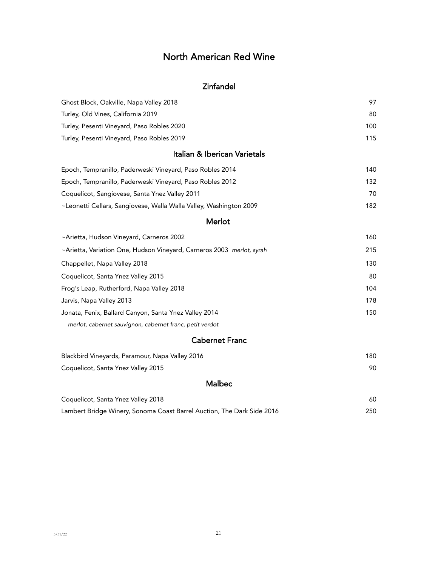### Zinfandel

| Ghost Block, Oakville, Napa Valley 2018                               | 97  |
|-----------------------------------------------------------------------|-----|
| Turley, Old Vines, California 2019                                    | 80  |
| Turley, Pesenti Vineyard, Paso Robles 2020                            | 100 |
| Turley, Pesenti Vineyard, Paso Robles 2019                            | 115 |
| Italian & Iberican Varietals                                          |     |
| Epoch, Tempranillo, Paderweski Vineyard, Paso Robles 2014             | 140 |
| Epoch, Tempranillo, Paderweski Vineyard, Paso Robles 2012             | 132 |
| Coquelicot, Sangiovese, Santa Ynez Valley 2011                        | 70  |
| ~Leonetti Cellars, Sangiovese, Walla Walla Valley, Washington 2009    | 182 |
| Merlot                                                                |     |
| ~Arietta, Hudson Vineyard, Carneros 2002                              | 160 |
| ~Arietta, Variation One, Hudson Vineyard, Carneros 2003 merlot, syrah | 215 |
| Chappellet, Napa Valley 2018                                          | 130 |
| Coquelicot, Santa Ynez Valley 2015                                    | 80  |
| Frog's Leap, Rutherford, Napa Valley 2018                             | 104 |
| Jarvis, Napa Valley 2013                                              | 178 |
| Jonata, Fenix, Ballard Canyon, Santa Ynez Valley 2014                 | 150 |
| merlot, cabernet sauvignon, cabernet franc, petit verdot              |     |

## Cabernet Franc

| Blackbird Vineyards, Paramour, Napa Valley 2016 | 180 |
|-------------------------------------------------|-----|
| Coquelicot, Santa Ynez Valley 2015              | 90. |
| <b>Malbec</b>                                   |     |

| Coquelicot, Santa Ynez Valley 2018                                     | 60  |
|------------------------------------------------------------------------|-----|
| Lambert Bridge Winery, Sonoma Coast Barrel Auction, The Dark Side 2016 | 250 |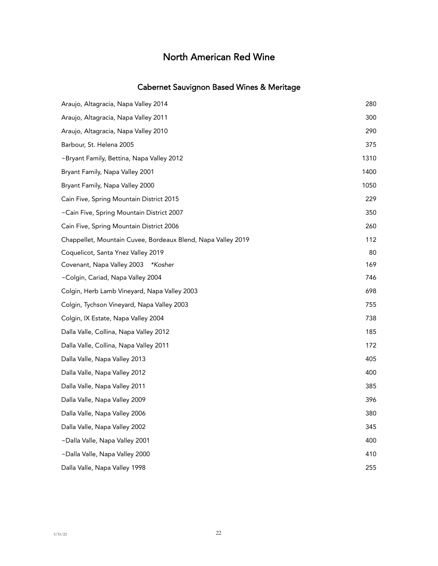## Cabernet Sauvignon Based Wines & Meritage

| Araujo, Altagracia, Napa Valley 2014                         | 280  |
|--------------------------------------------------------------|------|
| Araujo, Altagracia, Napa Valley 2011                         | 300  |
| Araujo, Altagracia, Napa Valley 2010                         | 290  |
| Barbour, St. Helena 2005                                     | 375  |
| ~Bryant Family, Bettina, Napa Valley 2012                    | 1310 |
| Bryant Family, Napa Valley 2001                              | 1400 |
| Bryant Family, Napa Valley 2000                              | 1050 |
| Cain Five, Spring Mountain District 2015                     | 229  |
| ~Cain Five, Spring Mountain District 2007                    | 350  |
| Cain Five, Spring Mountain District 2006                     | 260  |
| Chappellet, Mountain Cuvee, Bordeaux Blend, Napa Valley 2019 | 112  |
| Coquelicot, Santa Ynez Valley 2019                           | 80   |
| Covenant, Napa Valley 2003<br>*Kosher                        | 169  |
| ~Colgin, Cariad, Napa Valley 2004                            | 746  |
| Colgin, Herb Lamb Vineyard, Napa Valley 2003                 | 698  |
| Colgin, Tychson Vineyard, Napa Valley 2003                   | 755  |
| Colgin, IX Estate, Napa Valley 2004                          | 738  |
| Dalla Valle, Collina, Napa Valley 2012                       | 185  |
| Dalla Valle, Collina, Napa Valley 2011                       | 172  |
| Dalla Valle, Napa Valley 2013                                | 405  |
| Dalla Valle, Napa Valley 2012                                | 400  |
| Dalla Valle, Napa Valley 2011                                | 385  |
| Dalla Valle, Napa Valley 2009                                | 396  |
| Dalla Valle, Napa Valley 2006                                | 380  |
| Dalla Valle, Napa Valley 2002                                | 345  |
| ~Dalla Valle, Napa Valley 2001                               | 400  |
| ~Dalla Valle, Napa Valley 2000                               | 410  |
| Dalla Valle, Napa Valley 1998                                | 255  |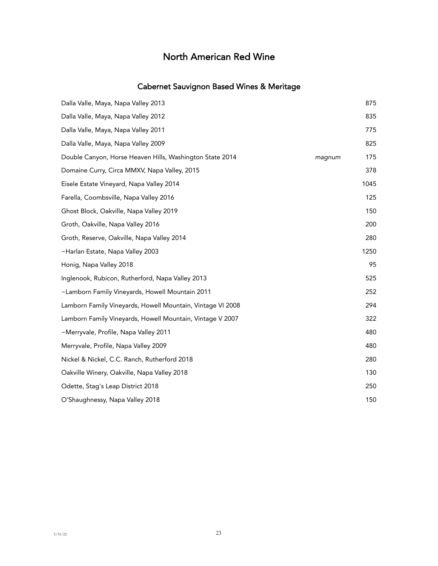## Cabernet Sauvignon Based Wines & Meritage

| Dalla Valle, Maya, Napa Valley 2013                        |        | 875  |
|------------------------------------------------------------|--------|------|
| Dalla Valle, Maya, Napa Valley 2012                        |        | 835  |
| Dalla Valle, Maya, Napa Valley 2011                        |        | 775  |
| Dalla Valle, Maya, Napa Valley 2009                        |        | 825  |
| Double Canyon, Horse Heaven Hills, Washington State 2014   | magnum | 175  |
| Domaine Curry, Circa MMXV, Napa Valley, 2015               |        | 378  |
| Eisele Estate Vineyard, Napa Valley 2014                   |        | 1045 |
| Farella, Coombsville, Napa Valley 2016                     |        | 125  |
| Ghost Block, Oakville, Napa Valley 2019                    |        | 150  |
| Groth, Oakville, Napa Valley 2016                          |        | 200  |
| Groth, Reserve, Oakville, Napa Valley 2014                 |        | 280  |
| ~Harlan Estate, Napa Valley 2003                           |        | 1250 |
| Honig, Napa Valley 2018                                    |        | 95   |
| Inglenook, Rubicon, Rutherford, Napa Valley 2013           |        | 525  |
| ~Lamborn Family Vineyards, Howell Mountain 2011            |        | 252  |
| Lamborn Family Vineyards, Howell Mountain, Vintage VI 2008 |        | 294  |
| Lamborn Family Vineyards, Howell Mountain, Vintage V 2007  |        | 322  |
| ~Merryvale, Profile, Napa Valley 2011                      |        | 480  |
| Merryvale, Profile, Napa Valley 2009                       |        | 480  |
| Nickel & Nickel, C.C. Ranch, Rutherford 2018               |        | 280  |
| Oakville Winery, Oakville, Napa Valley 2018                |        | 130  |
| Odette, Stag's Leap District 2018                          |        | 250  |
| O'Shaughnessy, Napa Valley 2018                            |        | 150  |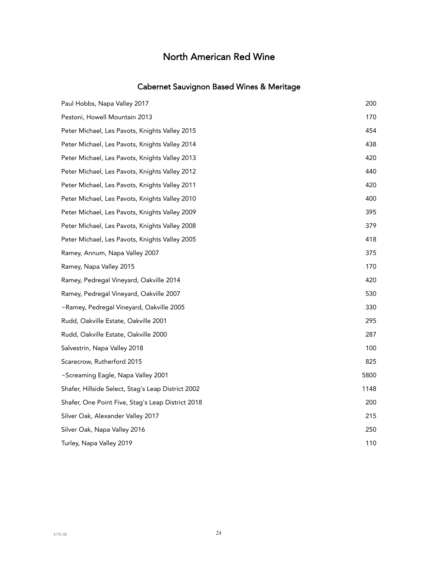### Cabernet Sauvignon Based Wines & Meritage

| Paul Hobbs, Napa Valley 2017                       | 200  |
|----------------------------------------------------|------|
| Pestoni, Howell Mountain 2013                      | 170  |
| Peter Michael, Les Pavots, Knights Valley 2015     | 454  |
| Peter Michael, Les Pavots, Knights Valley 2014     | 438  |
| Peter Michael, Les Pavots, Knights Valley 2013     | 420  |
| Peter Michael, Les Pavots, Knights Valley 2012     | 440  |
| Peter Michael, Les Pavots, Knights Valley 2011     | 420  |
| Peter Michael, Les Pavots, Knights Valley 2010     | 400  |
| Peter Michael, Les Pavots, Knights Valley 2009     | 395  |
| Peter Michael, Les Pavots, Knights Valley 2008     | 379  |
| Peter Michael, Les Pavots, Knights Valley 2005     | 418  |
| Ramey, Annum, Napa Valley 2007                     | 375  |
| Ramey, Napa Valley 2015                            | 170  |
| Ramey, Pedregal Vineyard, Oakville 2014            | 420  |
| Ramey, Pedregal Vineyard, Oakville 2007            | 530  |
| ~Ramey, Pedregal Vineyard, Oakville 2005           | 330  |
| Rudd, Oakville Estate, Oakville 2001               | 295  |
| Rudd, Oakville Estate, Oakville 2000               | 287  |
| Salvestrin, Napa Valley 2018                       | 100  |
| Scarecrow, Rutherford 2015                         | 825  |
| ~Screaming Eagle, Napa Valley 2001                 | 5800 |
| Shafer, Hillside Select, Stag's Leap District 2002 | 1148 |
| Shafer, One Point Five, Stag's Leap District 2018  | 200  |
| Silver Oak, Alexander Valley 2017                  | 215  |
| Silver Oak, Napa Valley 2016                       | 250  |
| Turley, Napa Valley 2019                           | 110  |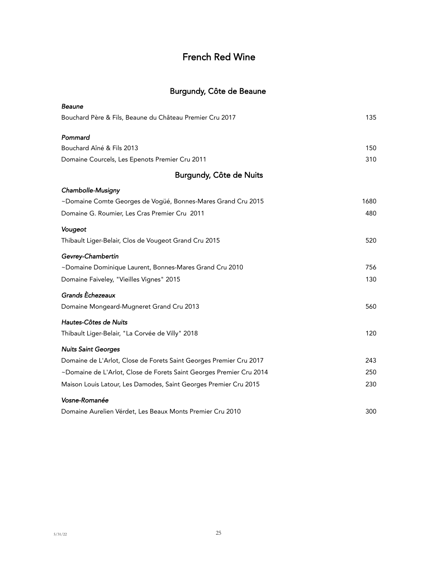# French Red Wine

# Burgundy, Côte de Beaune

| <b>Beaune</b>                                                       |      |
|---------------------------------------------------------------------|------|
| Bouchard Père & Fils, Beaune du Château Premier Cru 2017            | 135  |
| Pommard                                                             |      |
| Bouchard Aîné & Fils 2013                                           | 150  |
| Domaine Courcels, Les Epenots Premier Cru 2011                      | 310  |
| Burgundy, Côte de Nuits                                             |      |
| Chambolle-Musigny                                                   |      |
| ~Domaine Comte Georges de Vogüé, Bonnes-Mares Grand Cru 2015        | 1680 |
| Domaine G. Roumier, Les Cras Premier Cru 2011                       | 480  |
| Vougeot                                                             |      |
| Thibault Liger-Belair, Clos de Vougeot Grand Cru 2015               | 520  |
| Gevrey-Chambertin                                                   |      |
| ~Domaine Dominique Laurent, Bonnes-Mares Grand Cru 2010             | 756  |
| Domaine Faiveley, "Vieilles Vignes" 2015                            | 130  |
| Grands Echezeaux                                                    |      |
| Domaine Mongeard-Mugneret Grand Cru 2013                            | 560  |
| Hautes-Côtes de Nuits                                               |      |
| Thibault Liger-Belair, "La Corvée de Villy" 2018                    | 120  |
| <b>Nuits Saint Georges</b>                                          |      |
| Domaine de L'Arlot, Close de Forets Saint Georges Premier Cru 2017  | 243  |
| ~Domaine de L'Arlot, Close de Forets Saint Georges Premier Cru 2014 | 250  |
| Maison Louis Latour, Les Damodes, Saint Georges Premier Cru 2015    | 230  |
| Vosne-Romanée                                                       |      |
| Domaine Aurelien Vérdet, Les Beaux Monts Premier Cru 2010           | 300  |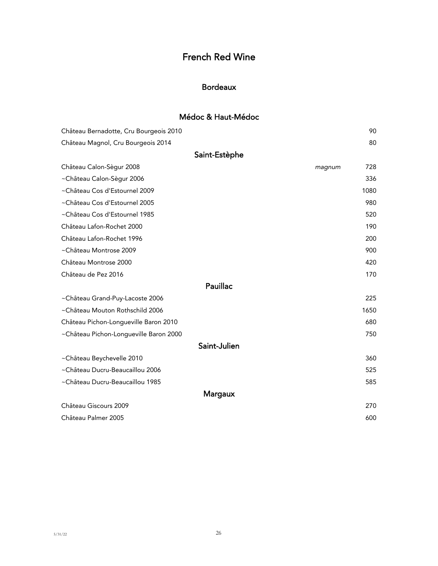# French Red Wine

### Bordeaux

## Médoc & Haut-Médoc

| Château Bernadotte, Cru Bourgeois 2010 | 90            |
|----------------------------------------|---------------|
| Château Magnol, Cru Bourgeois 2014     | 80            |
| Saint-Estèphe                          |               |
| Château Calon-Sègur 2008               | 728<br>magnum |
| ~Château Calon-Sègur 2006              | 336           |
| ~Château Cos d'Estournel 2009          | 1080          |
| ~Château Cos d'Estournel 2005          | 980           |
| ~Château Cos d'Estournel 1985          | 520           |
| Château Lafon-Rochet 2000              | 190           |
| Château Lafon-Rochet 1996              | 200           |
| ~Château Montrose 2009                 | 900           |
| Château Montrose 2000                  | 420           |
| Château de Pez 2016                    | 170           |
| Pauillac                               |               |
| ~Château Grand-Puy-Lacoste 2006        | 225           |
| ~Château Mouton Rothschild 2006        | 1650          |
| Château Pichon-Longueville Baron 2010  | 680           |
| ~Château Pichon-Longueville Baron 2000 | 750           |
| Saint-Julien                           |               |
| ~Château Beychevelle 2010              | 360           |
| ~Château Ducru-Beaucaillou 2006        | 525           |
| ~Château Ducru-Beaucaillou 1985        | 585           |
| Margaux                                |               |
| Château Giscours 2009                  | 270           |
| Château Palmer 2005                    | 600           |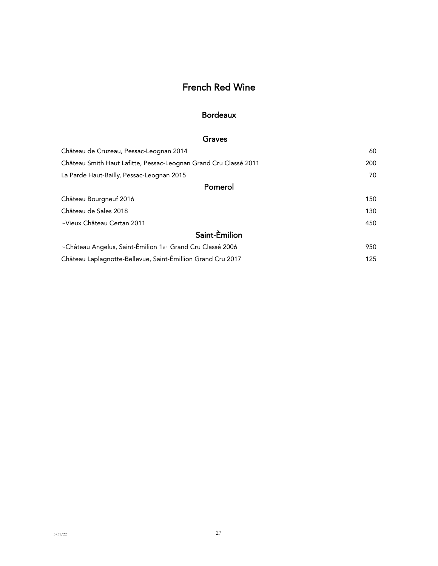# French Red Wine

#### Bordeaux

### Graves

| Château de Cruzeau, Pessac-Leognan 2014                          | 60  |
|------------------------------------------------------------------|-----|
| Château Smith Haut Lafitte, Pessac-Leognan Grand Cru Classé 2011 | 200 |
| La Parde Haut-Bailly, Pessac-Leognan 2015                        | 70  |
| Pomerol                                                          |     |
| Château Bourgneuf 2016                                           | 150 |
| Château de Sales 2018                                            | 130 |
| ~Vieux Château Certan 2011                                       | 450 |
| Saint-Emilion                                                    |     |
| ~Château Angelus, Saint-Èmilion 1er Grand Cru Classé 2006        | 950 |
| Château Laplagnotte-Bellevue, Saint-Émillion Grand Cru 2017      | 125 |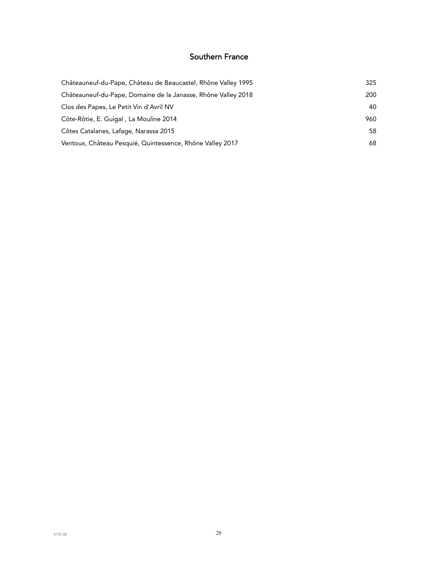### Southern France

| Châteauneuf-du-Pape, Château de Beaucastel, Rhône Valley 1995 | 325 |
|---------------------------------------------------------------|-----|
| Châteauneuf-du-Pape, Domaine de la Janasse, Rhône Valley 2018 | 200 |
| Clos des Papes, Le Petit Vin d'Avril NV                       | 40  |
| Côte-Rôtie, E. Guigal, La Mouline 2014                        | 960 |
| Côtes Catalanes, Lafage, Narassa 2015                         | 58  |
| Ventoux, Château Pesquié, Quintessence, Rhône Valley 2017     | 68  |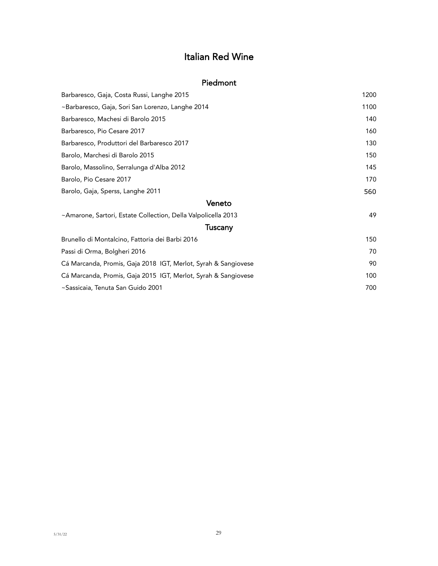# Italian Red Wine

#### Piedmont

| Barbaresco, Gaja, Costa Russi, Langhe 2015                     | 1200 |
|----------------------------------------------------------------|------|
| ~Barbaresco, Gaja, Sori San Lorenzo, Langhe 2014               | 1100 |
| Barbaresco, Machesi di Barolo 2015                             | 140  |
| Barbaresco, Pio Cesare 2017                                    | 160  |
| Barbaresco, Produttori del Barbaresco 2017                     | 130  |
| Barolo, Marchesi di Barolo 2015                                | 150  |
| Barolo, Massolino, Serralunga d'Alba 2012                      | 145  |
| Barolo, Pio Cesare 2017                                        | 170  |
| Barolo, Gaja, Sperss, Langhe 2011                              | 560  |
| Veneto                                                         |      |
| ~Amarone, Sartori, Estate Collection, Della Valpolicella 2013  | 49   |
| Tuscany                                                        |      |
| Brunello di Montalcino, Fattoria dei Barbi 2016                | 150  |
| Passi di Orma, Bolgheri 2016                                   | 70   |
| Cá Marcanda, Promis, Gaja 2018 IGT, Merlot, Syrah & Sangiovese | 90   |
| Cá Marcanda, Promis, Gaja 2015 IGT, Merlot, Syrah & Sangiovese | 100  |
| ~Sassicaia, Tenuta San Guido 2001                              | 700  |
|                                                                |      |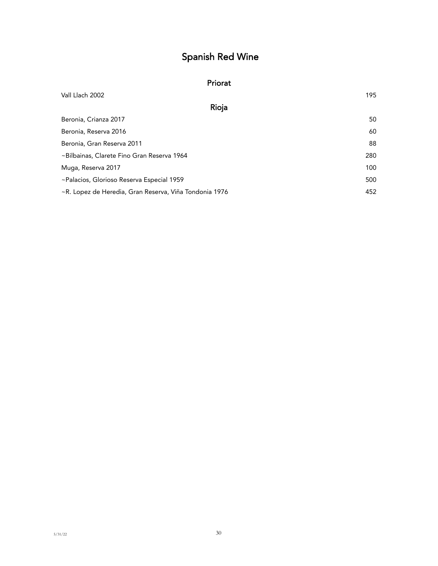# Spanish Red Wine

#### Priorat

| Vall Llach 2002                                        | 195 |
|--------------------------------------------------------|-----|
| Rioja                                                  |     |
| Beronia, Crianza 2017                                  | 50  |
| Beronia, Reserva 2016                                  | 60  |
| Beronia, Gran Reserva 2011                             | 88  |
| ~Bilbainas, Clarete Fino Gran Reserva 1964             | 280 |
| Muga, Reserva 2017                                     | 100 |
| ~Palacios, Glorioso Reserva Especial 1959              | 500 |
| ~R. Lopez de Heredia, Gran Reserva, Viña Tondonia 1976 | 452 |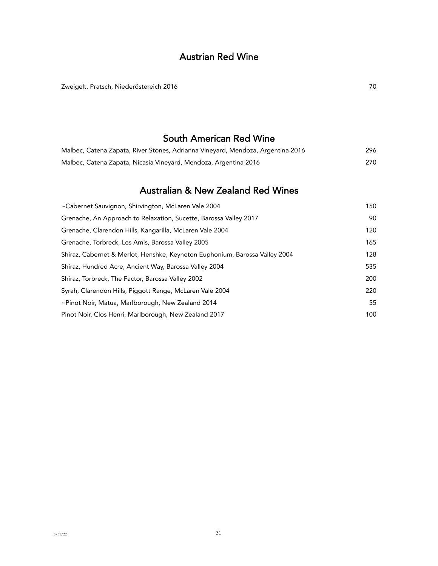## Austrian Red Wine

Zweigelt, Pratsch, Niederöstereich 2016 70 auch auch der Einer Einer Einer Einer Einer Einer Eine Eine Eine Ein

## South American Red Wine

| Malbec, Catena Zapata, River Stones, Adrianna Vinevard, Mendoza, Argentina 2016 | 296 |
|---------------------------------------------------------------------------------|-----|
| Malbec, Catena Zapata, Nicasia Vineyard, Mendoza, Argentina 2016                | 270 |

# Australian & New Zealand Red Wines

| ~Cabernet Sauvignon, Shirvington, McLaren Vale 2004                         | 150 |
|-----------------------------------------------------------------------------|-----|
| Grenache, An Approach to Relaxation, Sucette, Barossa Valley 2017           | 90  |
| Grenache, Clarendon Hills, Kangarilla, McLaren Vale 2004                    | 120 |
| Grenache, Torbreck, Les Amis, Barossa Valley 2005                           | 165 |
| Shiraz, Cabernet & Merlot, Henshke, Keyneton Euphonium, Barossa Valley 2004 | 128 |
| Shiraz, Hundred Acre, Ancient Way, Barossa Valley 2004                      | 535 |
| Shiraz, Torbreck, The Factor, Barossa Valley 2002                           | 200 |
| Syrah, Clarendon Hills, Piggott Range, McLaren Vale 2004                    | 220 |
| ~Pinot Noir, Matua, Marlborough, New Zealand 2014                           | 55  |
| Pinot Noir, Clos Henri, Marlborough, New Zealand 2017                       | 100 |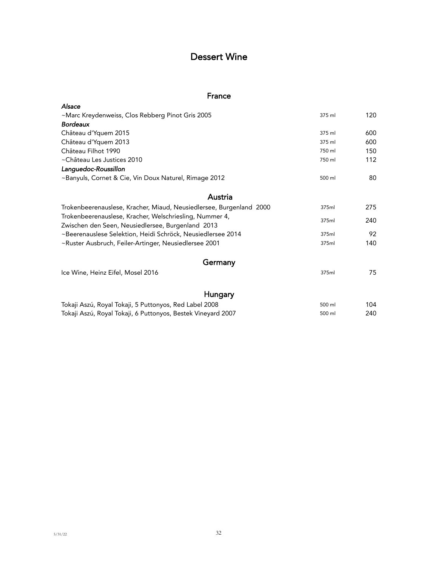## Dessert Wine

#### France

| Alsace                                                              |        |     |
|---------------------------------------------------------------------|--------|-----|
| ~Marc Kreydenweiss, Clos Rebberg Pinot Gris 2005                    | 375 ml | 120 |
| <b>Bordeaux</b>                                                     |        |     |
| Château d'Yquem 2015                                                | 375 ml | 600 |
| Château d'Yquem 2013                                                | 375 ml | 600 |
| Château Filhot 1990                                                 | 750 ml | 150 |
| ~Château Les Justices 2010                                          | 750 ml | 112 |
| Languedoc-Roussillon                                                |        |     |
| ~Banyuls, Cornet & Cie, Vin Doux Naturel, Rimage 2012               | 500 ml | 80  |
| Austria                                                             |        |     |
| Trokenbeerenauslese, Kracher, Miaud, Neusiedlersee, Burgenland 2000 | 375ml  | 275 |
| Trokenbeerenauslese, Kracher, Welschriesling, Nummer 4,             |        |     |
| Zwischen den Seen, Neusiedlersee, Burgenland 2013                   | 375ml  | 240 |
| ~Beerenauslese Selektion, Heidi Schröck, Neusiedlersee 2014         | 375ml  | 92  |
| ~Ruster Ausbruch, Feiler-Artinger, Neusiedlersee 2001               | 375ml  | 140 |
| Germany                                                             |        |     |
| Ice Wine, Heinz Eifel, Mosel 2016                                   | 375ml  | 75  |
| Hungary                                                             |        |     |
| Tokaji Aszú, Royal Tokaji, 5 Puttonyos, Red Label 2008              | 500 ml | 104 |
| Tokaji Aszú, Royal Tokaji, 6 Puttonyos, Bestek Vineyard 2007        | 500 ml | 240 |